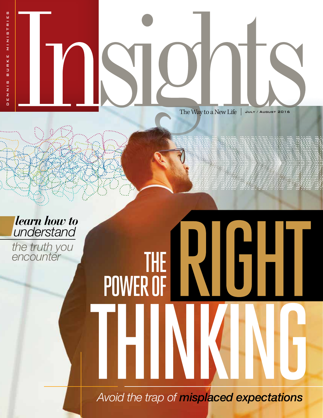The Way to a New Life  $\vert$  July / August 2016

POWER OF

*learn how to understand*

*the truth you encounter* THE

*Avoid the trap of misplaced expectations*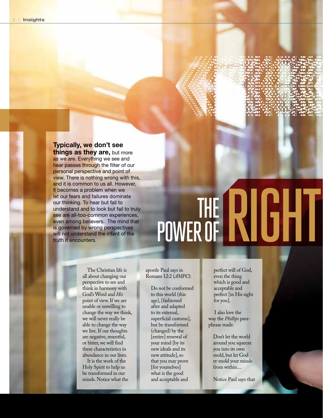#### Typically, we don't see things as they are, but more

as we are. Everything we see and hear passes through the filter of our personal perspective and point of view. There is nothing wrong with this, and it is common to us all. However, it becomes a problem when we let our fears and failures dominate our thinking. To hear but fail to understand and to look but fail to truly see are all-too-common experiences, even among believers. The mind that is governed by wrong perspectives will not understand the intent of the truth it encounters.

# THE POWER OF RIGHT

The Christian life is all about changing our perspective to see and think in harmony with God's Word and *His*  point of view. If we are unable or unwilling to change the way we think, we will never really be able to change the way we live. If our thoughts are negative, resentful, or bitter, we will find these characteristics in abundance in our lives.

It is the work of the Holy Spirit to help us be transformed in our minds. Notice what the

#### apostle Paul says in Romans 12:2 (*AMPC*):

Do not be conformed to this world (this age), [fashioned after and adapted to its external, superficial customs], but be transformed (changed) by the [entire] renewal of your mind [by its new ideals and its new attitude], so that you may prove [for yourselves] what is the good and acceptable and

perfect will of God, even the thing which is good and acceptable and perfect [in His sight for you].

 I also love the way the *Phillips* paraphrase reads:

> Don't let the world around you squeeze you into its own mold, but let God re-mold your minds from within....

Notice Paul says that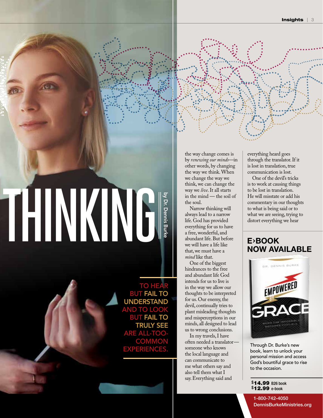# RIGHTTHINKING by Dr. Dennis Burke

TO HEAR BUT FAIL TO UNDERSTAND AND TO LOOK BUT FAIL TO TRULY SEE ARE ALL-TOO **COMMON** EXPERIENCES

the way change comes is by *renewing our minds*—in other words, by changing the way we think. When we change the way we think, we can change the way we *live*. It all starts in the mind — the soil of the soul.

Narrow thinking will always lead to a narrow life. God has provided everything for us to have a free, wonderful, and abundant life. But before we will have a life like that,we must have a *mind* like that.

One of the biggest hindrances to the free and abundant life God intends for us to live is in the way we allow our thoughts to be interpreted for us. Our enemy, the devil, continually tries to plant misleading thoughts and misperceptions in our minds, all designed to lead us to wrong conclusions.

In my travels, I have often needed a translator someone who knows the local language and can communicate to me what others say and also tell them what I say. Everything said and

everything heard goes through the translator. If it is lost in translation, true communication is lost.

One of the devil's tricks is to work at causing things to be lost in translation. He will misstate or add his commentary in our thoughts to what is being said or to what we are seeing, trying to distort everything we hear

#### E**›**BOOK NOW AVAILABLE



Through Dr. Burke's new book, learn to unlock your personal mission and access God's bountiful grace to rise to the occasion.

#### \$14.99 B26 book \$12.99 e-book

1-800-742-4050

DennisBurkeMinistries.org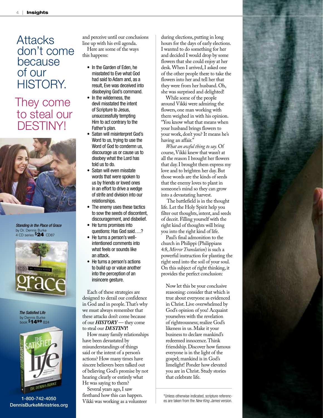### **Attacks** don't come because of our HISTORY.

## They come to steal our DESTINY!



*Standing in the Place of Grace* by Dr. Dennis Burke 4 CD series \$24 CD87



*The Satisfied Life* by Dennis Burke<br><sub>book</sub> \$**1499** <sub>B24</sub>



1-800-742-4050 DennisBurkeMinistries.org

and perceive until our conclusions line up with his evil agenda.

Here are some of the ways this happens:

- In the Garden of Eden, he misstated to Eve what God had said to Adam and, as a result, Eve was deceived into disobeying God's command.
- In the wilderness, the devil misstated the intent of Scripture to Jesus, unsuccessfully tempting Him to act contrary to the Father's plan.
- Satan will misinterpret God's Word to us, trying to use the Word of God to condemn us, discourage us or cause us to disobey what the Lord has told us to do.
- Satan will even misstate words that were spoken to us by friends or loved ones in an effort to drive a wedge of strife and division into our relationships.
- The enemy uses these tactics to sow the seeds of discontent, discouragement, and disbelief.
- He turns promises into questions: Has God said….?
- He turns a person's wellintentioned comments into what feels or sounds like an attack.
- He turns a person's actions to build up or value another into the perception of an insincere gesture.

Each of these strategies are designed to derail our confidence in God and in people. That's why we must always remember that these attacks don't come because of our *HISTORY* — they come to steal our *DESTINY***!**

How many family relationships have been devastated by misunderstandings of things said or the intent of a person's actions? How many times have sincere believers been talked out of believing God's promise by not hearing clearly or entirely what He was saying to them?

Several years ago, I saw firsthand how this can happen. Vikki was working as a volunteer

during elections, putting in long hours for the days of early elections. I wanted to do something for her and decided I would drop by some flowers that she could enjoy at her desk. When I arrived, I asked one of the other people there to take the flowers into her and tell her that they were from her husband. Oh, she was surprised and delighted!

While some of the people around Vikki were admiring the flowers, one man working with them weighed in with his opinion. "You know what that means when your husband brings flowers to your work, don't you? It means he's having an affair."

*What an awful thing to say.* Of course, Vikki knew that wasn't at all the reason I brought her flowers that day. I brought them express my love and to brighten her day. But those words are the kinds of seeds that the enemy loves to plant in someone's mind so they can grow into a devastating harvest.

 The battlefield is in the thought life. Let the Holy Spirit help you filter out thoughts, intent, and seeds of deceit. Filling yourself with the right kind of thoughts will bring you into the right kind of life.

Paul's final admonition to the church in Philippi (Philippians 4:8, *Mirror Translation*) is such a powerful instruction for planting the right seed into the soil of your soul. On this subject of right thinking, it provides the perfect conclusion:

Now let this be your conclusive reasoning: consider that which is true about everyone as evidenced in Christ. Live overwhelmed by God's opinion of you! Acquaint yourselves with the revelation of righteousness; realize God's likeness in us. Make it your business to declare mankind's redeemed innocence. Think friendship. Discover how famous everyone is in the light of the gospel; mankind is in God's limelight! Ponder how elevated you are in Christ. Study stories that celebrate life.

\*Unless otherwise indicated, scripture references are taken from the *New King James* version.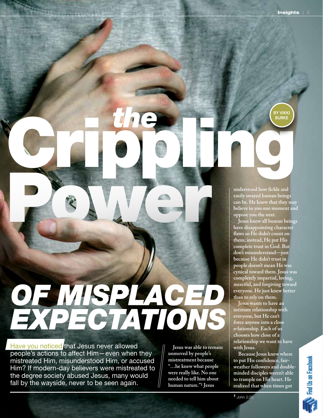**BY VIKK BURKE** 

**understood how fickle and easily swayed human beings can be. He knew that they may believe in you one moment and oppose you the next.** 

**Jesus knew all human beings have disappointing character flaws so He didn't count on them; instead, He put His complete trust in God. But don't misunderstand—just because He didn't trust in people doesn't mean He was cynical toward them. Jesus was completely impartial, loving, merciful, and forgiving toward everyone. He just knew better than to rely on them.** Power Power

> **Jesus wants to have an intimate relationship with everyone, but He can't force anyone into a close relationship. Each of us chooses how close of a relationship we want to have with Jesus.**

**Because Jesus knew where to put His confidence, fairweather followers and doubleminded disciples weren't able to trample on His heart. He realized that when times got** 

1 John 2:25

## *OF MISPLACED EXPECTATIONS*

*the*

Cripping House

Have you noticed that Jesus never allowed people's actions to affect Him—even when they mistreated Him, misunderstood Him, or accused Him? If modern-day believers were mistreated to the degree society abused Jesus, many would fall by the wayside, never to be seen again.

**Jesus was able to remain unmoved by people's mistreatment because "…he knew what people were really like. No one needed to tell him about human nature."1 Jesus**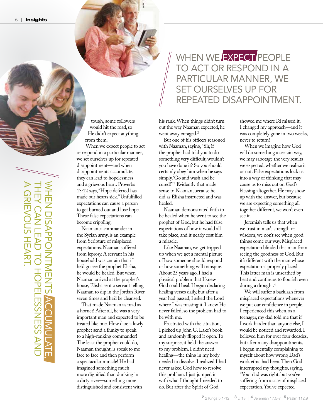WHEN WE EXPECT PEOPLE TO ACT OR RESPOND IN A PARTICULAR MANNER, WE SET OURSELVES UP FOR REPEATED DISAPPOINTMENT.

tough, some followers would hit the road, so He didn't expect anything from them.

When we expect people to act or respond in a particular manner, we set ourselves up for repeated disappointment—and when disappointments accumulate, they can lead to hopelessness and a grievous heart. Proverbs 13:12 says, "Hope deferred has made our hearts sick." Unfulfilled expectations can cause a person to get burned out and lose hope. These false expectations can become crippling.

Naaman, a commander in the Syrian army, is an example from Scripture of misplaced expectations. Naaman suffered from leprosy. A servant in his household was certain that if he'd go see the prophet Elisha, he would be healed. But when Naaman arrived at the prophet's house, Elisha sent a servant telling Naaman to dip in the Jordan River seven times and he'd be cleansed.

WHEN DISAPPOINTMENTS ACCUMULATE,

**ACCUMUI** 

**NHE** 

HEN DISAPPOINTMENTS

THEY CAN LEAD TO HOPELESSNESS AND HEY CAN LEAD TO HOPELESSS AND

A GRIEVOUS HEART.

**GRIEVOUS HEART.** 

That made Naaman as mad as a hornet! After all, he was a very important man and expected to be treated like one. How dare a lowly prophet send a flunky to speak to a high-ranking commander! The least the prophet could do, Naaman thought, is speak to me face to face and then perform a spectacular miracle! He had imagined something much more dignified than dunking in a dirty river—something more distinguished and consistent with

his rank. When things didn't turn out the way Naaman expected, he went away enraged.<sup>2</sup>

But one of his officers reasoned with Naaman, saying, "Sir, if the prophet had told you to do something very difficult, wouldn't you have done it? So you should certainly obey him when he says simply, 'Go and wash and be cured!'"3 Evidently that made sense to Naaman, because he did as Elisha instructed and was healed.

Naaman demonstrated faith to be healed when he went to see the prophet of God, but he had false expectations of how it would all take place, and it nearly cost him a miracle.

Like Naaman, we get tripped up when we get a mental picture of how someone should respond or how something will transpire. About 25 years ago, I had a physical problem that I knew God could heal. I began declaring healing verses daily, but after a year had passed, I asked the Lord where I was missing it. I knew He never failed, so the problem had to be with me.

Frustrated with the situation, I picked up John G. Lake's book and randomly flipped it open. To my surprise, it held the answer to my problem. I didn't need healing—the thing in my body needed to dissolve. I realized I had never asked God how to resolve this problem. I just jumped in with what I thought I needed to do. But after the Spirit of God

showed me where I'd missed it, I changed my approach—and it was completely gone in two weeks, never to return!

When we imagine how God will do something a certain way, we may sabotage the very results we expected, whether we realize it or not. False expectations lock us into a way of thinking that may cause us to miss out on God's blessing altogether. He may show up with the answer, but because we are expecting something all together different, we won't even see it.

Jeremiah tells us that when we trust in man's strength or wisdom, we don't see when good things come our way. Misplaced expectation blinded this man from seeing the goodness of God. But it's different with the man whose expectation is properly placed. This latter man is unscathed by heat and continues to flourish even during a drought.4

We will suffer a backlash from misplaced expectations whenever we put our confidence in people. I experienced this when, as a teenager, my dad told me that if I work harder than anyone else, I would be noticed and rewarded. I believed him for over four decades, but after many disappointments, I began mentally complaining to myself about how wrong Dad's work ethic had been. Then God interrupted my thoughts, saying, "Your dad was right, but you've suffering from a case of misplaced expectation. You've expected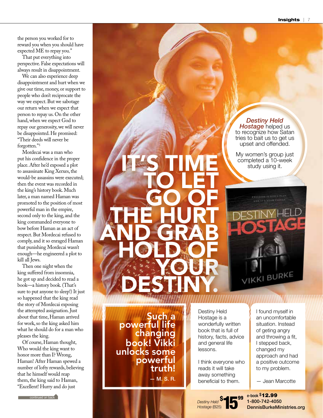Insights | 7

the person you worked for to reward you when you should have expected ME to repay you."

That put everything into perspective. False expectations will always result in disappointment.

We can also experience deep disappointment and hurt when we give our time, money, or support to people who don't reciprocate the way we expect. But we sabotage our return when we expect that person to repay us. On the other hand, when we expect God to repay our generosity, we will never be disappointed. He promised: "Their deeds will never be forgotten."5

Mordecai was a man who put his confidence in the proper place. After he'd exposed a plot to assassinate King Xerxes, the would-be assassins were executed; then the event was recorded in the king's history book. Much later, a man named Haman was promoted to the position of most powerful man in the empire, second only to the king, and the king commanded everyone to bow before Haman as an act of respect. But Mordecai refused to comply, and it so enraged Haman that punishing Mordecai wasn't enough—he engineered a plot to kill all Jews.

Then one night when the king suffered from insomnia, he got up and decided to read a book—a history book. (That's sure to put anyone to sleep!) It just so happened that the king read the story of Mordecai exposing the attempted assignation. Just about that time, Haman arrived for work, so the king asked him what he should do for a man who pleases the king.

Of course, Haman thought, Who would the king want to honor more than I? Wrong, Haman! After Haman spewed a number of lofty rewards, believing that he himself would reap them, the king said to Haman, "Excellent! Hurry and do just

**continued on back** 

*Destiny Held Hostage helped us* to recognize how Satan tries to bait us to get us upset and offended.

My women's group just completed a 10-week study using it.



Such a<br>Dowerful life changing book! Vikki unlocks some powerful<br>!truth

**IT'S TIME** 

**DESTINY.** 

— M. S. R.

Destiny Held Hostage is a wonderfully written book that is full of history, facts, advice and general life lessons.

I think everyone who reads it will take away something beneficial to them.

\$

*Destiny Held Hostage* (B25)

**15**<sup>99</sup>

I found myself in an uncomfortable situation. Instead of geting angry and throwing a fit, I stepped back, changed my approach and had a positive outcome to my problem.

— Jean Marcotte

e-book \$12.99 1-800-742-4050 DennisBurkeMinistries.org